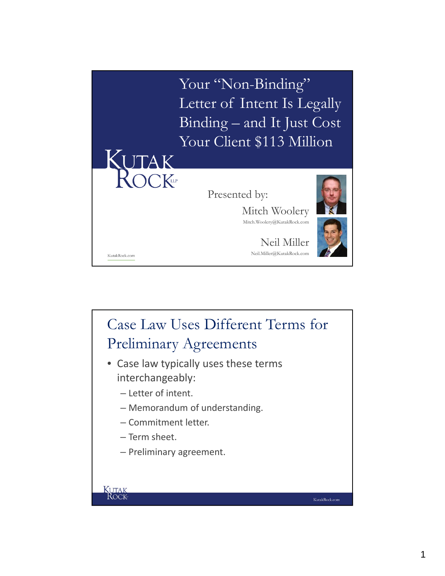

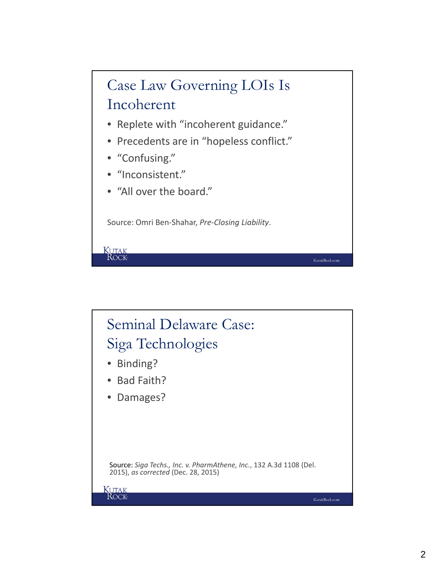

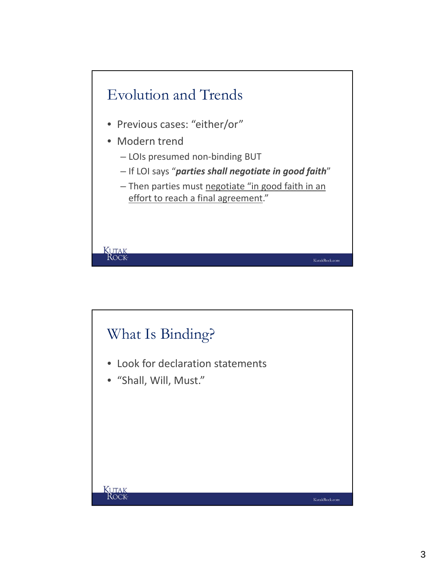

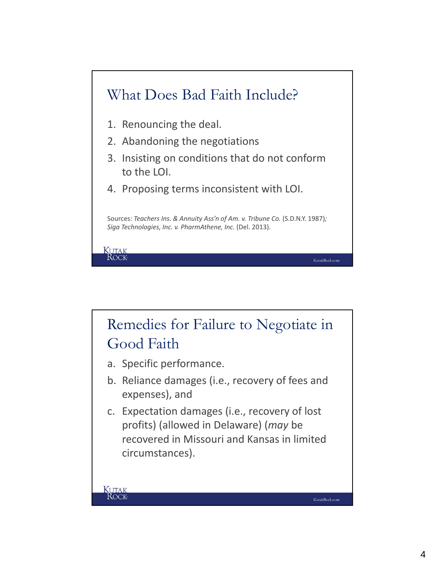

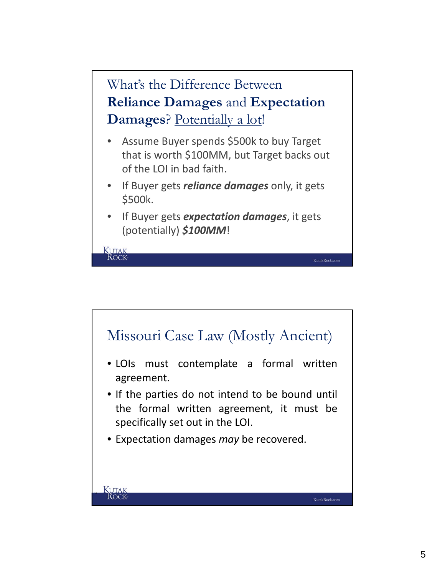

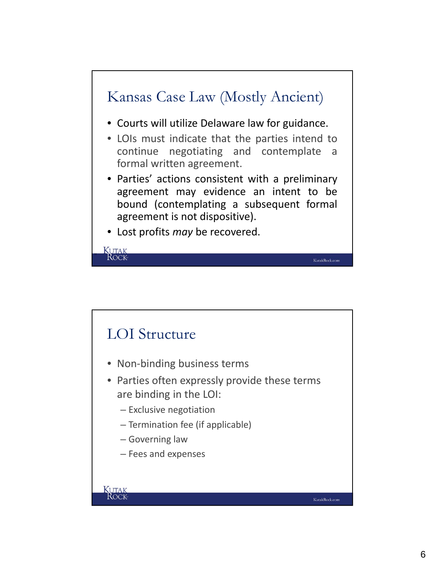

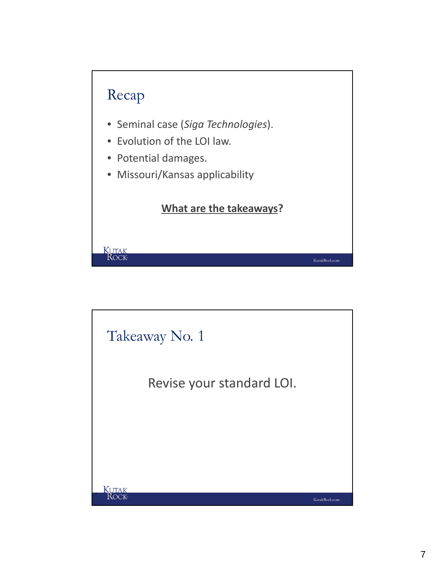

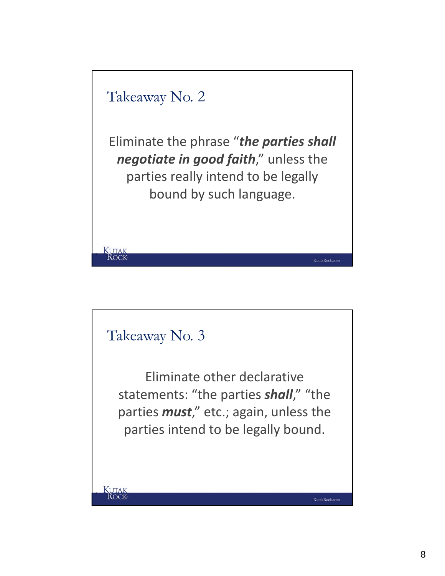